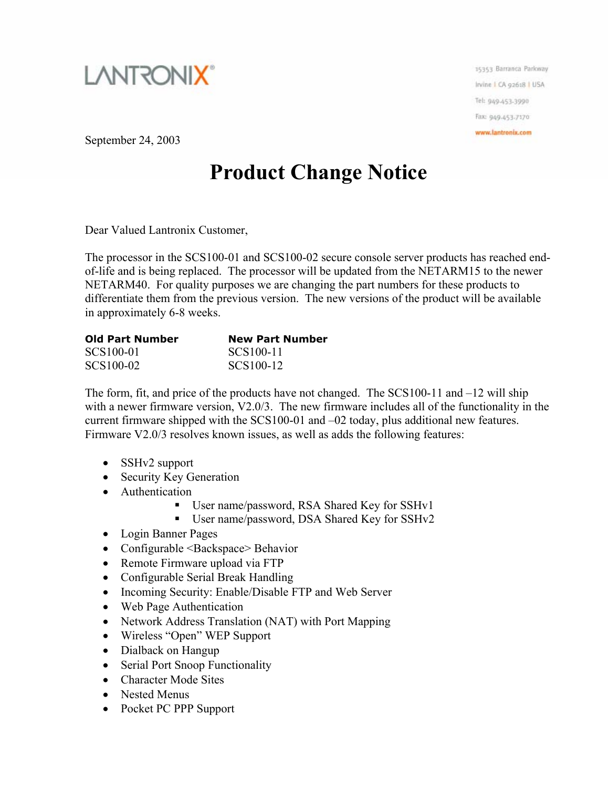

15353 Barranca Parkway Irvine I CA 92618 | USA Tel: 949-453-3990 Fax: 949-453-7170 www.lantronix.com

September 24, 2003

## **Product Change Notice**

Dear Valued Lantronix Customer,

The processor in the SCS100-01 and SCS100-02 secure console server products has reached endof-life and is being replaced. The processor will be updated from the NETARM15 to the newer NETARM40. For quality purposes we are changing the part numbers for these products to differentiate them from the previous version. The new versions of the product will be available in approximately 6-8 weeks.

| <b>Old Part Number</b> | <b>New Part Number</b> |
|------------------------|------------------------|
| SCS100-01              | SCS100-11              |
| SCS100-02              | SCS100-12              |

The form, fit, and price of the products have not changed. The SCS100-11 and –12 will ship with a newer firmware version, V2.0/3. The new firmware includes all of the functionality in the current firmware shipped with the SCS100-01 and –02 today, plus additional new features. Firmware V2.0/3 resolves known issues, as well as adds the following features:

- SSHv2 support
- Security Key Generation
- Authentication
	- User name/password, RSA Shared Key for SSHv1
	- User name/password, DSA Shared Key for SSHv2
- Login Banner Pages
- Configurable <Backspace> Behavior
- Remote Firmware upload via FTP
- Configurable Serial Break Handling
- Incoming Security: Enable/Disable FTP and Web Server
- Web Page Authentication
- Network Address Translation (NAT) with Port Mapping
- Wireless "Open" WEP Support
- Dialback on Hangup
- Serial Port Snoop Functionality
- Character Mode Sites
- Nested Menus
- Pocket PC PPP Support